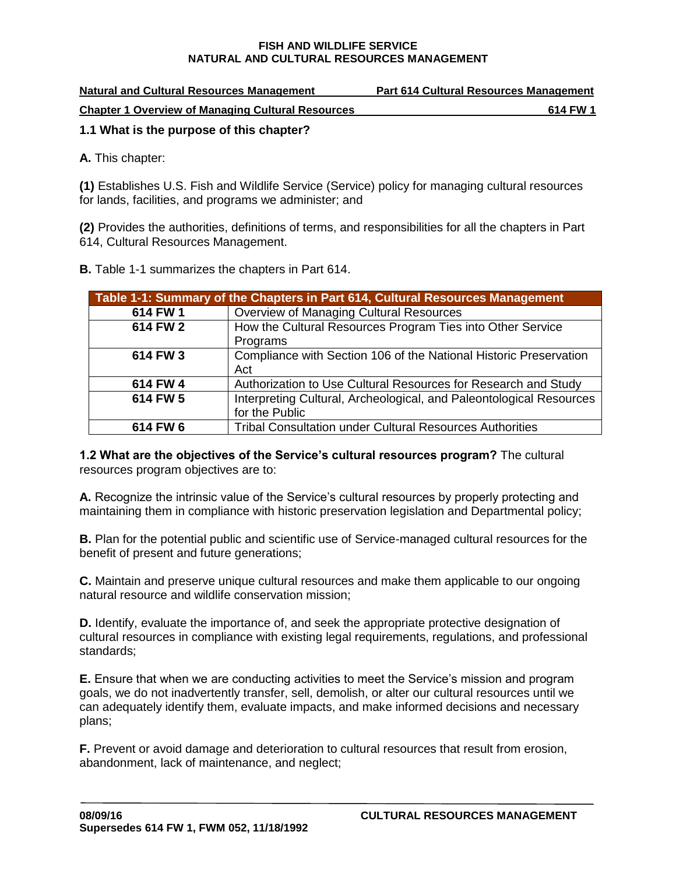| <b>Natural and Cultural Resources Management</b>         | <b>Part 614 Cultural Resources Management</b> |
|----------------------------------------------------------|-----------------------------------------------|
| <b>Chapter 1 Overview of Managing Cultural Resources</b> | 614 FW 1                                      |

# **1.1 What is the purpose of this chapter?**

**A.** This chapter:

**(1)** Establishes U.S. Fish and Wildlife Service (Service) policy for managing cultural resources for lands, facilities, and programs we administer; and

**(2)** Provides the authorities, definitions of terms, and responsibilities for all the chapters in Part 614, Cultural Resources Management.

**B.** Table 1-1 summarizes the chapters in Part 614.

| Table 1-1: Summary of the Chapters in Part 614, Cultural Resources Management |                                                                     |
|-------------------------------------------------------------------------------|---------------------------------------------------------------------|
| 614 FW 1                                                                      | Overview of Managing Cultural Resources                             |
| 614 FW 2                                                                      | How the Cultural Resources Program Ties into Other Service          |
|                                                                               | Programs                                                            |
| 614 FW 3                                                                      | Compliance with Section 106 of the National Historic Preservation   |
|                                                                               | Act                                                                 |
| 614 FW 4                                                                      | Authorization to Use Cultural Resources for Research and Study      |
| 614 FW 5                                                                      | Interpreting Cultural, Archeological, and Paleontological Resources |
|                                                                               | for the Public                                                      |
| 614 FW 6                                                                      | <b>Tribal Consultation under Cultural Resources Authorities</b>     |

**1.2 What are the objectives of the Service's cultural resources program?** The cultural resources program objectives are to:

**A.** Recognize the intrinsic value of the Service's cultural resources by properly protecting and maintaining them in compliance with historic preservation legislation and Departmental policy;

**B.** Plan for the potential public and scientific use of Service-managed cultural resources for the benefit of present and future generations;

**C.** Maintain and preserve unique cultural resources and make them applicable to our ongoing natural resource and wildlife conservation mission;

**D.** Identify, evaluate the importance of, and seek the appropriate protective designation of cultural resources in compliance with existing legal requirements, regulations, and professional standards;

**E.** Ensure that when we are conducting activities to meet the Service's mission and program goals, we do not inadvertently transfer, sell, demolish, or alter our cultural resources until we can adequately identify them, evaluate impacts, and make informed decisions and necessary plans;

**F.** Prevent or avoid damage and deterioration to cultural resources that result from erosion, abandonment, lack of maintenance, and neglect;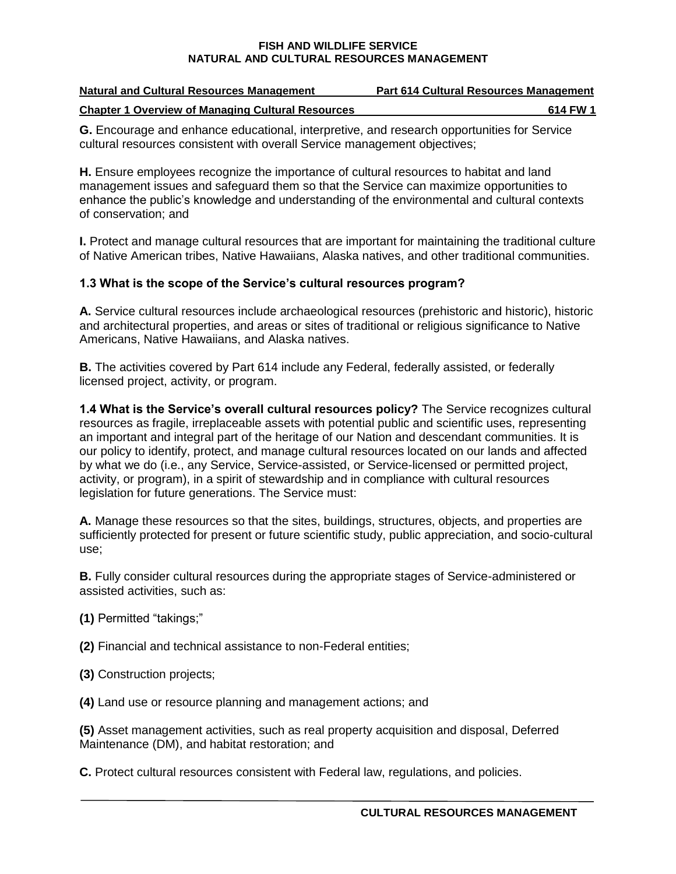| <b>Natural and Cultural Resources Management</b>         | <b>Part 614 Cultural Resources Management</b> |
|----------------------------------------------------------|-----------------------------------------------|
| <b>Chapter 1 Overview of Managing Cultural Resources</b> | 614 FW 1                                      |

**G.** Encourage and enhance educational, interpretive, and research opportunities for Service cultural resources consistent with overall Service management objectives;

**H.** Ensure employees recognize the importance of cultural resources to habitat and land management issues and safeguard them so that the Service can maximize opportunities to enhance the public's knowledge and understanding of the environmental and cultural contexts of conservation; and

**I.** Protect and manage cultural resources that are important for maintaining the traditional culture of Native American tribes, Native Hawaiians, Alaska natives, and other traditional communities.

## **1.3 What is the scope of the Service's cultural resources program?**

**A.** Service cultural resources include archaeological resources (prehistoric and historic), historic and architectural properties, and areas or sites of traditional or religious significance to Native Americans, Native Hawaiians, and Alaska natives.

**B.** The activities covered by Part 614 include any Federal, federally assisted, or federally licensed project, activity, or program.

**1.4 What is the Service's overall cultural resources policy?** The Service recognizes cultural resources as fragile, irreplaceable assets with potential public and scientific uses, representing an important and integral part of the heritage of our Nation and descendant communities. It is our policy to identify, protect, and manage cultural resources located on our lands and affected by what we do (i.e., any Service, Service-assisted, or Service-licensed or permitted project, activity, or program), in a spirit of stewardship and in compliance with cultural resources legislation for future generations. The Service must:

**A.** Manage these resources so that the sites, buildings, structures, objects, and properties are sufficiently protected for present or future scientific study, public appreciation, and socio-cultural use;

**B.** Fully consider cultural resources during the appropriate stages of Service-administered or assisted activities, such as:

**(1)** Permitted "takings;"

**(2)** Financial and technical assistance to non-Federal entities;

**(3)** Construction projects;

**(4)** Land use or resource planning and management actions; and

**(5)** Asset management activities, such as real property acquisition and disposal, Deferred Maintenance (DM), and habitat restoration; and

**C.** Protect cultural resources consistent with Federal law, regulations, and policies.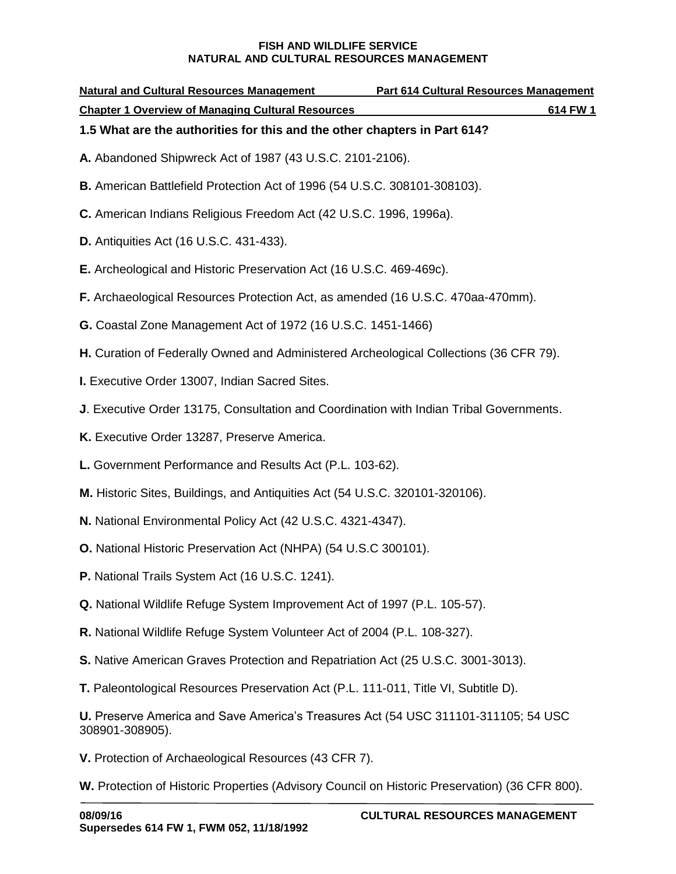| Part 614 Cultural Resources Management<br><b>Natural and Cultural Resources Management</b><br><b>Chapter 1 Overview of Managing Cultural Resources</b><br>614 FW 1 |
|--------------------------------------------------------------------------------------------------------------------------------------------------------------------|
| 1.5 What are the authorities for this and the other chapters in Part 614?                                                                                          |
| A. Abandoned Shipwreck Act of 1987 (43 U.S.C. 2101-2106).                                                                                                          |
| B. American Battlefield Protection Act of 1996 (54 U.S.C. 308101-308103).                                                                                          |
| C. American Indians Religious Freedom Act (42 U.S.C. 1996, 1996a).                                                                                                 |
| <b>D.</b> Antiquities Act (16 U.S.C. 431-433).                                                                                                                     |
| E. Archeological and Historic Preservation Act (16 U.S.C. 469-469c).                                                                                               |
| F. Archaeological Resources Protection Act, as amended (16 U.S.C. 470aa-470mm).                                                                                    |
| G. Coastal Zone Management Act of 1972 (16 U.S.C. 1451-1466)                                                                                                       |
| H. Curation of Federally Owned and Administered Archeological Collections (36 CFR 79).                                                                             |
| I. Executive Order 13007, Indian Sacred Sites.                                                                                                                     |
| J. Executive Order 13175, Consultation and Coordination with Indian Tribal Governments.                                                                            |
| K. Executive Order 13287, Preserve America.                                                                                                                        |
| L. Government Performance and Results Act (P.L. 103-62).                                                                                                           |
| M. Historic Sites, Buildings, and Antiquities Act (54 U.S.C. 320101-320106).                                                                                       |
| N. National Environmental Policy Act (42 U.S.C. 4321-4347).                                                                                                        |
| <b>O.</b> National Historic Preservation Act (NHPA) (54 U.S.C 300101).                                                                                             |
| P. National Trails System Act (16 U.S.C. 1241).                                                                                                                    |
| Q. National Wildlife Refuge System Improvement Act of 1997 (P.L. 105-57).                                                                                          |
| R. National Wildlife Refuge System Volunteer Act of 2004 (P.L. 108-327).                                                                                           |
| S. Native American Graves Protection and Repatriation Act (25 U.S.C. 3001-3013).                                                                                   |
| T. Paleontological Resources Preservation Act (P.L. 111-011, Title VI, Subtitle D).                                                                                |
| <b>U.</b> Preserve America and Save America's Treasures Act (54 USC 311101-311105; 54 USC<br>308901-308905).                                                       |
| V. Protection of Archaeological Resources (43 CFR 7).                                                                                                              |

**W.** Protection of Historic Properties (Advisory Council on Historic Preservation) (36 CFR 800).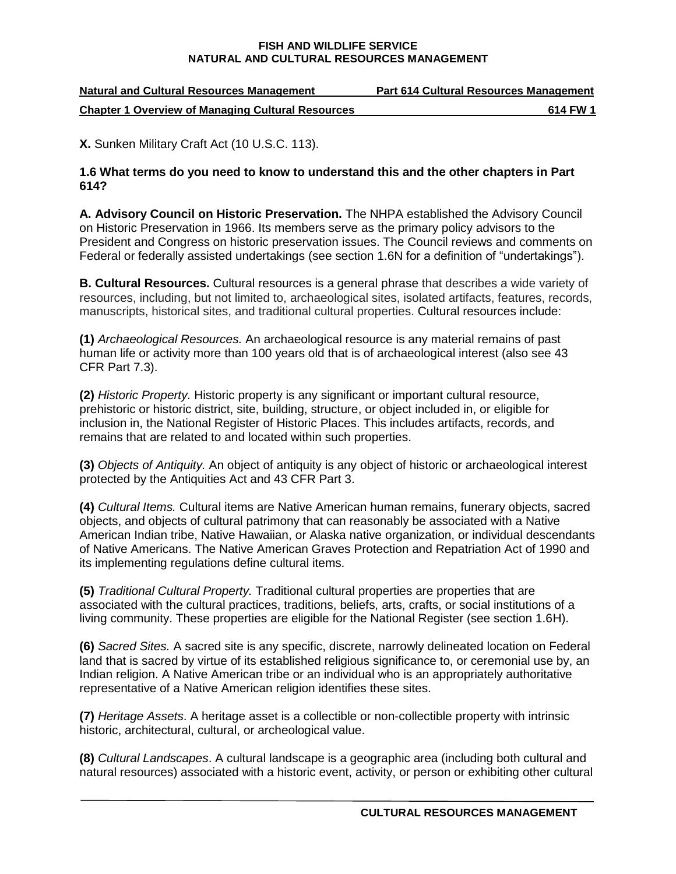| <b>Natural and Cultural Resources Management</b>         | <b>Part 614 Cultural Resources Management</b> |
|----------------------------------------------------------|-----------------------------------------------|
| <b>Chapter 1 Overview of Managing Cultural Resources</b> | 614 FW 1                                      |

**X.** Sunken Military Craft Act (10 U.S.C. 113).

## **1.6 What terms do you need to know to understand this and the other chapters in Part 614?**

**A. Advisory Council on Historic Preservation.** The NHPA established the Advisory Council on Historic Preservation in 1966. Its members serve as the primary policy advisors to the President and Congress on historic preservation issues. The Council reviews and comments on Federal or federally assisted undertakings (see section 1.6N for a definition of "undertakings").

**B. Cultural Resources.** Cultural resources is a general phrase that describes a wide variety of resources, including, but not limited to, archaeological sites, isolated artifacts, features, records, manuscripts, historical sites, and traditional cultural properties. Cultural resources include:

**(1)** *Archaeological Resources.* An archaeological resource is any material remains of past human life or activity more than 100 years old that is of archaeological interest (also see 43 CFR Part 7.3).

**(2)** *Historic Property.* Historic property is any significant or important cultural resource, prehistoric or historic district, site, building, structure, or object included in, or eligible for inclusion in, the National Register of Historic Places. This includes artifacts, records, and remains that are related to and located within such properties.

**(3)** *Objects of Antiquity.* An object of antiquity is any object of historic or archaeological interest protected by the Antiquities Act and 43 CFR Part 3.

**(4)** *Cultural Items.* Cultural items are Native American human remains, funerary objects, sacred objects, and objects of cultural patrimony that can reasonably be associated with a Native American Indian tribe, Native Hawaiian, or Alaska native organization, or individual descendants of Native Americans. The Native American Graves Protection and Repatriation Act of 1990 and its implementing regulations define cultural items.

**(5)** *Traditional Cultural Property.* Traditional cultural properties are properties that are associated with the cultural practices, traditions, beliefs, arts, crafts, or social institutions of a living community. These properties are eligible for the National Register (see section 1.6H).

**(6)** *Sacred Sites.* A sacred site is any specific, discrete, narrowly delineated location on Federal land that is sacred by virtue of its established religious significance to, or ceremonial use by, an Indian religion. A Native American tribe or an individual who is an appropriately authoritative representative of a Native American religion identifies these sites.

**(7)** *Heritage Assets*. A heritage asset is a collectible or non-collectible property with intrinsic historic, architectural, cultural, or archeological value.

**(8)** *Cultural Landscapes*. A cultural landscape is a geographic area (including both cultural and natural resources) associated with a historic event, activity, or person or exhibiting other cultural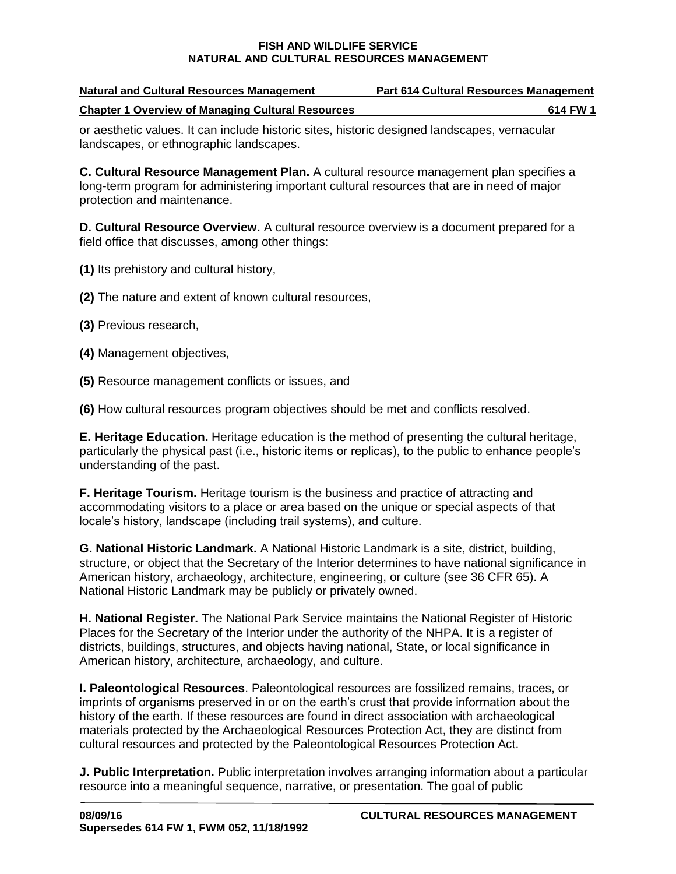| <b>Natural and Cultural Resources Management</b>         | <b>Part 614 Cultural Resources Management</b> |
|----------------------------------------------------------|-----------------------------------------------|
| <b>Chapter 1 Overview of Managing Cultural Resources</b> | 614 FW 1                                      |

or aesthetic values. It can include historic sites, historic designed landscapes, vernacular landscapes, or ethnographic landscapes.

**C. Cultural Resource Management Plan.** A cultural resource management plan specifies a long-term program for administering important cultural resources that are in need of major protection and maintenance.

**D. Cultural Resource Overview.** A cultural resource overview is a document prepared for a field office that discusses, among other things:

**(1)** Its prehistory and cultural history,

**(2)** The nature and extent of known cultural resources,

- **(3)** Previous research,
- **(4)** Management objectives,
- **(5)** Resource management conflicts or issues, and

**(6)** How cultural resources program objectives should be met and conflicts resolved.

**E. Heritage Education.** Heritage education is the method of presenting the cultural heritage, particularly the physical past (i.e., historic items or replicas), to the public to enhance people's understanding of the past.

**F. Heritage Tourism.** Heritage tourism is the business and practice of attracting and accommodating visitors to a place or area based on the unique or special aspects of that locale's history, landscape (including trail systems), and culture.

**G. National Historic Landmark.** A National Historic Landmark is a site, district, building, structure, or object that the Secretary of the Interior determines to have national significance in American history, archaeology, architecture, engineering, or culture (see 36 CFR 65). A National Historic Landmark may be publicly or privately owned.

**H. National Register.** The National Park Service maintains the National Register of Historic Places for the Secretary of the Interior under the authority of the NHPA. It is a register of districts, buildings, structures, and objects having national, State, or local significance in American history, architecture, archaeology, and culture.

**I. Paleontological Resources**. Paleontological resources are fossilized remains, traces, or imprints of organisms preserved in or on the earth's crust that provide information about the history of the earth. If these resources are found in direct association with archaeological materials protected by the Archaeological Resources Protection Act, they are distinct from cultural resources and protected by the Paleontological Resources Protection Act.

**J. Public Interpretation.** Public interpretation involves arranging information about a particular resource into a meaningful sequence, narrative, or presentation. The goal of public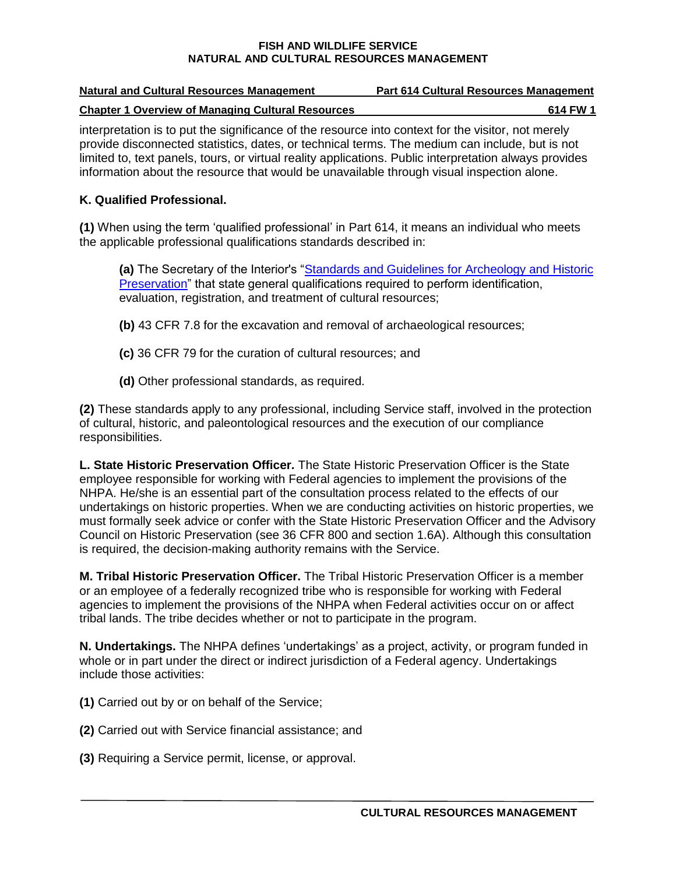| <b>Natural and Cultural Resources Management</b>         | <b>Part 614 Cultural Resources Management</b> |
|----------------------------------------------------------|-----------------------------------------------|
| <b>Chapter 1 Overview of Managing Cultural Resources</b> | 614 FW 1                                      |

interpretation is to put the significance of the resource into context for the visitor, not merely provide disconnected statistics, dates, or technical terms. The medium can include, but is not limited to, text panels, tours, or virtual reality applications. Public interpretation always provides information about the resource that would be unavailable through visual inspection alone.

# **K. Qualified Professional.**

**(1)** When using the term 'qualified professional' in Part 614, it means an individual who meets the applicable professional qualifications standards described in:

**(a)** The Secretary of the Interior's ["Standards and Guidelines for Archeology and Historic](https://www.nps.gov/history/local-law/arch_stnds_0.htm)  [Preservation"](https://www.nps.gov/history/local-law/arch_stnds_0.htm) that state general qualifications required to perform identification, evaluation, registration, and treatment of cultural resources;

- **(b)** 43 CFR 7.8 for the excavation and removal of archaeological resources;
- **(c)** 36 CFR 79 for the curation of cultural resources; and
- **(d)** Other professional standards, as required.

**(2)** These standards apply to any professional, including Service staff, involved in the protection of cultural, historic, and paleontological resources and the execution of our compliance responsibilities.

**L. State Historic Preservation Officer.** The State Historic Preservation Officer is the State employee responsible for working with Federal agencies to implement the provisions of the NHPA. He/she is an essential part of the consultation process related to the effects of our undertakings on historic properties. When we are conducting activities on historic properties, we must formally seek advice or confer with the State Historic Preservation Officer and the Advisory Council on Historic Preservation (see 36 CFR 800 and section 1.6A). Although this consultation is required, the decision-making authority remains with the Service.

**M. Tribal Historic Preservation Officer.** The Tribal Historic Preservation Officer is a member or an employee of a federally recognized tribe who is responsible for working with Federal agencies to implement the provisions of the NHPA when Federal activities occur on or affect tribal lands. The tribe decides whether or not to participate in the program.

**N. Undertakings.** The NHPA defines 'undertakings' as a project, activity, or program funded in whole or in part under the direct or indirect jurisdiction of a Federal agency. Undertakings include those activities:

- **(1)** Carried out by or on behalf of the Service;
- **(2)** Carried out with Service financial assistance; and
- **(3)** Requiring a Service permit, license, or approval.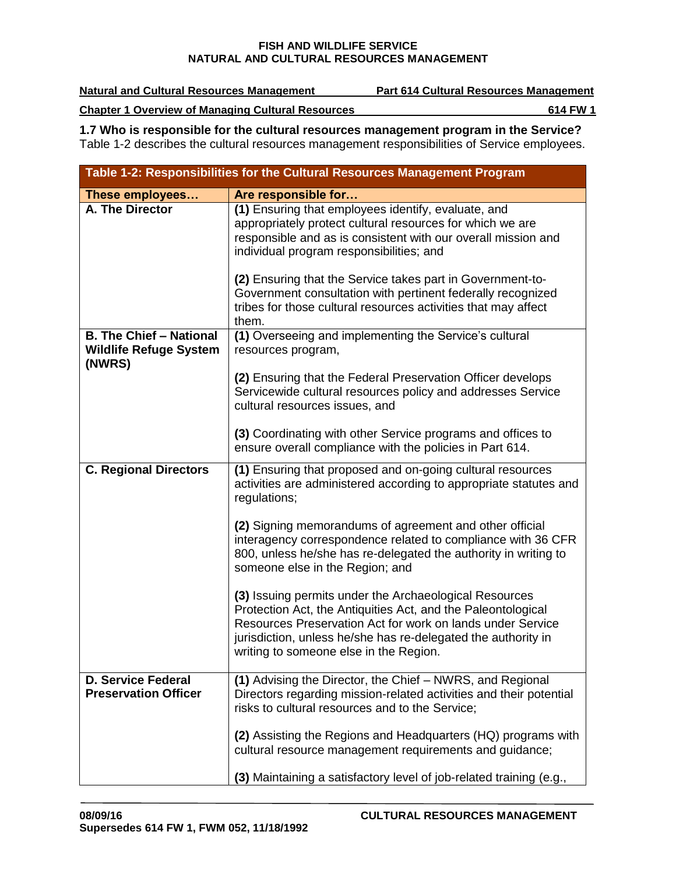| <b>Natural and Cultural Resources Management</b>         | <b>Part 614 Cultural Resources Management</b> |
|----------------------------------------------------------|-----------------------------------------------|
| <b>Chapter 1 Overview of Managing Cultural Resources</b> | 614 FW 1                                      |

**1.7 Who is responsible for the cultural resources management program in the Service?**  Table 1-2 describes the cultural resources management responsibilities of Service employees.

| Table 1-2: Responsibilities for the Cultural Resources Management Program |                                                                                                                                                                                                                                                                                                                                                            |
|---------------------------------------------------------------------------|------------------------------------------------------------------------------------------------------------------------------------------------------------------------------------------------------------------------------------------------------------------------------------------------------------------------------------------------------------|
| These employees                                                           | Are responsible for                                                                                                                                                                                                                                                                                                                                        |
| A. The Director                                                           | (1) Ensuring that employees identify, evaluate, and<br>appropriately protect cultural resources for which we are<br>responsible and as is consistent with our overall mission and<br>individual program responsibilities; and<br>(2) Ensuring that the Service takes part in Government-to-<br>Government consultation with pertinent federally recognized |
|                                                                           | tribes for those cultural resources activities that may affect<br>them.                                                                                                                                                                                                                                                                                    |
| <b>B. The Chief - National</b><br><b>Wildlife Refuge System</b><br>(NWRS) | (1) Overseeing and implementing the Service's cultural<br>resources program,                                                                                                                                                                                                                                                                               |
|                                                                           | (2) Ensuring that the Federal Preservation Officer develops<br>Servicewide cultural resources policy and addresses Service<br>cultural resources issues, and                                                                                                                                                                                               |
|                                                                           | (3) Coordinating with other Service programs and offices to<br>ensure overall compliance with the policies in Part 614.                                                                                                                                                                                                                                    |
| <b>C. Regional Directors</b>                                              | (1) Ensuring that proposed and on-going cultural resources<br>activities are administered according to appropriate statutes and<br>regulations;                                                                                                                                                                                                            |
|                                                                           | (2) Signing memorandums of agreement and other official<br>interagency correspondence related to compliance with 36 CFR<br>800, unless he/she has re-delegated the authority in writing to<br>someone else in the Region; and                                                                                                                              |
|                                                                           | (3) Issuing permits under the Archaeological Resources<br>Protection Act, the Antiquities Act, and the Paleontological<br>Resources Preservation Act for work on lands under Service<br>jurisdiction, unless he/she has re-delegated the authority in<br>writing to someone else in the Region.                                                            |
| <b>D. Service Federal</b>                                                 | (1) Advising the Director, the Chief - NWRS, and Regional                                                                                                                                                                                                                                                                                                  |
| <b>Preservation Officer</b>                                               | Directors regarding mission-related activities and their potential<br>risks to cultural resources and to the Service;                                                                                                                                                                                                                                      |
|                                                                           | (2) Assisting the Regions and Headquarters (HQ) programs with<br>cultural resource management requirements and guidance;                                                                                                                                                                                                                                   |
|                                                                           | (3) Maintaining a satisfactory level of job-related training (e.g.,                                                                                                                                                                                                                                                                                        |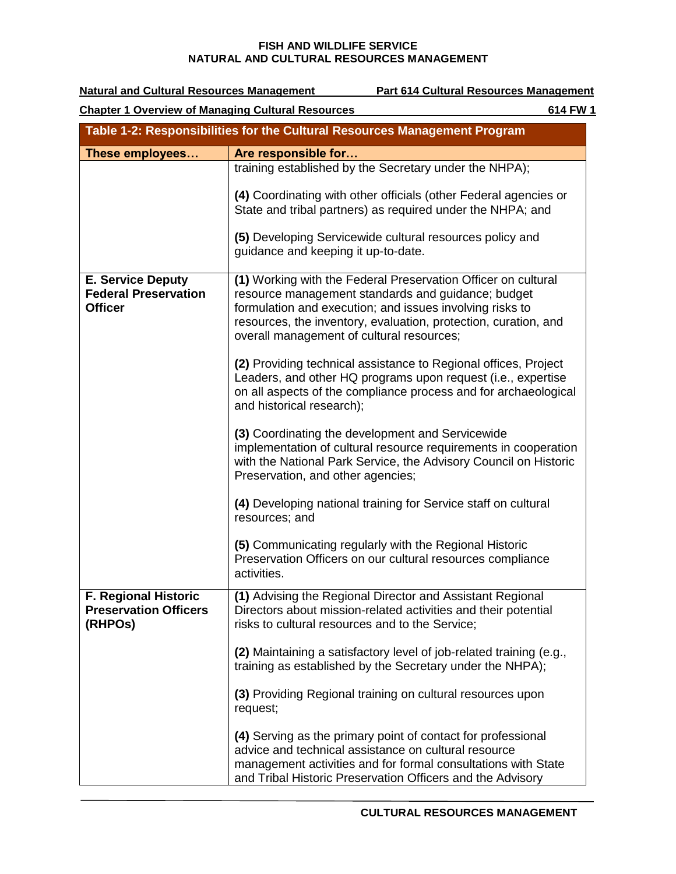| Natural and Cultural Resources Management                                 | Part 614 Cultural Resources Management                                                                                                                                                                                                                                                          |
|---------------------------------------------------------------------------|-------------------------------------------------------------------------------------------------------------------------------------------------------------------------------------------------------------------------------------------------------------------------------------------------|
| <b>Chapter 1 Overview of Managing Cultural Resources</b>                  | 614 FW 1                                                                                                                                                                                                                                                                                        |
|                                                                           | Table 1-2: Responsibilities for the Cultural Resources Management Program                                                                                                                                                                                                                       |
| These employees                                                           | Are responsible for                                                                                                                                                                                                                                                                             |
|                                                                           | training established by the Secretary under the NHPA);                                                                                                                                                                                                                                          |
|                                                                           | (4) Coordinating with other officials (other Federal agencies or<br>State and tribal partners) as required under the NHPA; and                                                                                                                                                                  |
|                                                                           | (5) Developing Servicewide cultural resources policy and<br>guidance and keeping it up-to-date.                                                                                                                                                                                                 |
| <b>E. Service Deputy</b><br><b>Federal Preservation</b><br><b>Officer</b> | (1) Working with the Federal Preservation Officer on cultural<br>resource management standards and guidance; budget<br>formulation and execution; and issues involving risks to<br>resources, the inventory, evaluation, protection, curation, and<br>overall management of cultural resources; |
|                                                                           | (2) Providing technical assistance to Regional offices, Project<br>Leaders, and other HQ programs upon request (i.e., expertise<br>on all aspects of the compliance process and for archaeological<br>and historical research);                                                                 |
|                                                                           | (3) Coordinating the development and Servicewide<br>implementation of cultural resource requirements in cooperation<br>with the National Park Service, the Advisory Council on Historic<br>Preservation, and other agencies;                                                                    |
|                                                                           | (4) Developing national training for Service staff on cultural<br>resources; and                                                                                                                                                                                                                |
|                                                                           | (5) Communicating regularly with the Regional Historic<br>Preservation Officers on our cultural resources compliance<br>activities                                                                                                                                                              |
| <b>F. Regional Historic</b><br><b>Preservation Officers</b><br>(RHPOs)    | (1) Advising the Regional Director and Assistant Regional<br>Directors about mission-related activities and their potential<br>risks to cultural resources and to the Service;                                                                                                                  |
|                                                                           | (2) Maintaining a satisfactory level of job-related training (e.g.,<br>training as established by the Secretary under the NHPA);                                                                                                                                                                |
|                                                                           | (3) Providing Regional training on cultural resources upon<br>request;                                                                                                                                                                                                                          |
|                                                                           | (4) Serving as the primary point of contact for professional<br>advice and technical assistance on cultural resource<br>management activities and for formal consultations with State<br>and Tribal Historic Preservation Officers and the Advisory                                             |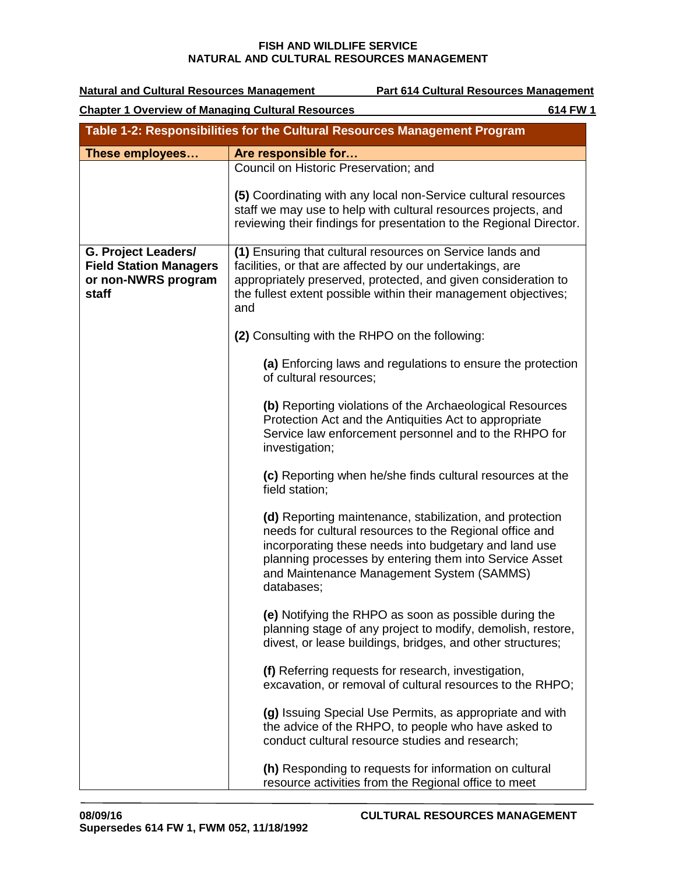| <b>Natural and Cultural Resources Management</b>                                     | Part 614 Cultural Resources Management                                                                                                                                                                                                                                                            |
|--------------------------------------------------------------------------------------|---------------------------------------------------------------------------------------------------------------------------------------------------------------------------------------------------------------------------------------------------------------------------------------------------|
| <b>Chapter 1 Overview of Managing Cultural Resources</b>                             | 614 FW 1                                                                                                                                                                                                                                                                                          |
|                                                                                      | Table 1-2: Responsibilities for the Cultural Resources Management Program                                                                                                                                                                                                                         |
| These employees                                                                      | Are responsible for                                                                                                                                                                                                                                                                               |
|                                                                                      | Council on Historic Preservation; and                                                                                                                                                                                                                                                             |
|                                                                                      | (5) Coordinating with any local non-Service cultural resources<br>staff we may use to help with cultural resources projects, and<br>reviewing their findings for presentation to the Regional Director.                                                                                           |
| G. Project Leaders/<br><b>Field Station Managers</b><br>or non-NWRS program<br>staff | (1) Ensuring that cultural resources on Service lands and<br>facilities, or that are affected by our undertakings, are<br>appropriately preserved, protected, and given consideration to<br>the fullest extent possible within their management objectives;<br>and                                |
|                                                                                      | (2) Consulting with the RHPO on the following:                                                                                                                                                                                                                                                    |
|                                                                                      | (a) Enforcing laws and regulations to ensure the protection<br>of cultural resources;                                                                                                                                                                                                             |
|                                                                                      | (b) Reporting violations of the Archaeological Resources<br>Protection Act and the Antiquities Act to appropriate<br>Service law enforcement personnel and to the RHPO for<br>investigation;                                                                                                      |
|                                                                                      | (c) Reporting when he/she finds cultural resources at the<br>field station;                                                                                                                                                                                                                       |
|                                                                                      | (d) Reporting maintenance, stabilization, and protection<br>needs for cultural resources to the Regional office and<br>incorporating these needs into budgetary and land use<br>planning processes by entering them into Service Asset<br>and Maintenance Management System (SAMMS)<br>databases; |
|                                                                                      | (e) Notifying the RHPO as soon as possible during the<br>planning stage of any project to modify, demolish, restore,<br>divest, or lease buildings, bridges, and other structures;                                                                                                                |
|                                                                                      | (f) Referring requests for research, investigation,<br>excavation, or removal of cultural resources to the RHPO;                                                                                                                                                                                  |
|                                                                                      | (g) Issuing Special Use Permits, as appropriate and with<br>the advice of the RHPO, to people who have asked to<br>conduct cultural resource studies and research;                                                                                                                                |
|                                                                                      | (h) Responding to requests for information on cultural<br>resource activities from the Regional office to meet                                                                                                                                                                                    |